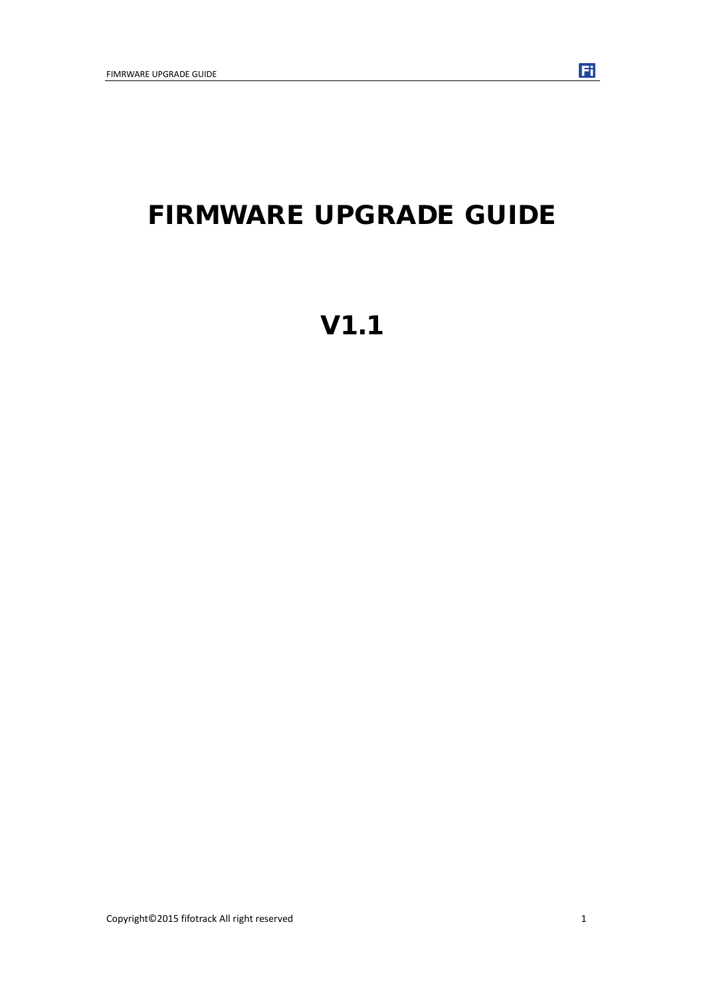## FIRMWARE UPGRADE GUIDE

# V1.1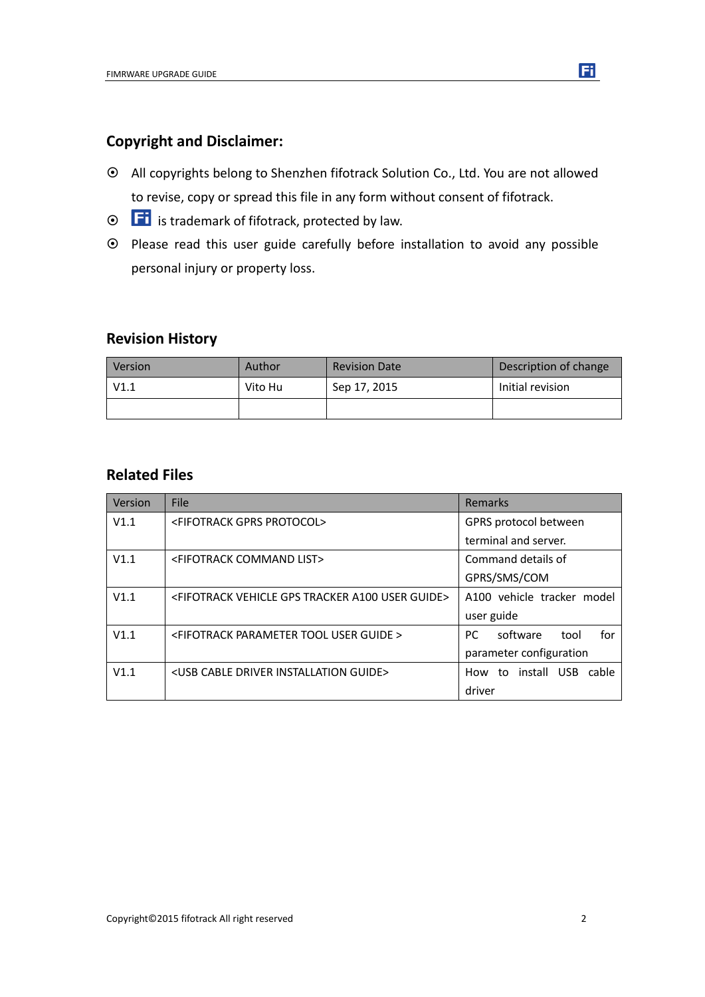#### **Copyright and Disclaimer:**

- All copyrights belong to Shenzhen fifotrack Solution Co., Ltd. You are not allowed to revise, copy or spread this file in any form without consent of fifotrack.
- $\odot$   $\Box$  is trademark of fifotrack, protected by law.
- $\odot$  Please read this user guide carefully before installation to avoid any possible personal injury or property loss.

#### **Revision History**

| Version | Author  | <b>Revision Date</b> | Description of change |
|---------|---------|----------------------|-----------------------|
| V1.1    | Vito Hu | Sep 17, 2015         | Initial revision      |
|         |         |                      |                       |

#### **Related Files**

| Version | File                                                                          | Remarks                           |
|---------|-------------------------------------------------------------------------------|-----------------------------------|
| V1.1    | <fifotrack gprs="" protocol=""></fifotrack>                                   | GPRS protocol between             |
|         |                                                                               | terminal and server.              |
| V1.1    | <fifotrack command="" list=""></fifotrack>                                    | Command details of                |
|         |                                                                               | GPRS/SMS/COM                      |
| V1.1    | <fifotrack a100="" gps="" guide="" tracker="" user="" vehicle=""></fifotrack> | A100 vehicle tracker model        |
|         |                                                                               | user guide                        |
| V1.1    | <fifotrack guide="" parameter="" tool="" user=""></fifotrack>                 | software<br>for<br>PC.<br>tool    |
|         |                                                                               | parameter configuration           |
| V1.1    | <usb cable="" driver="" guide="" installation=""></usb>                       | install USB<br>to<br>cable<br>How |
|         |                                                                               | driver                            |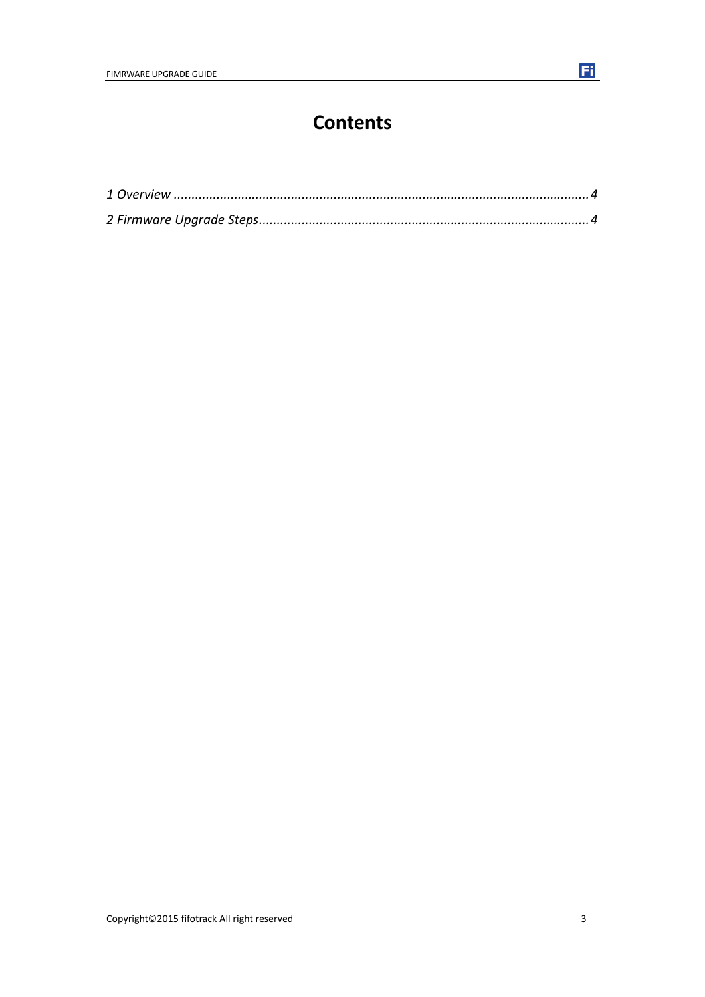### **Contents**

Fi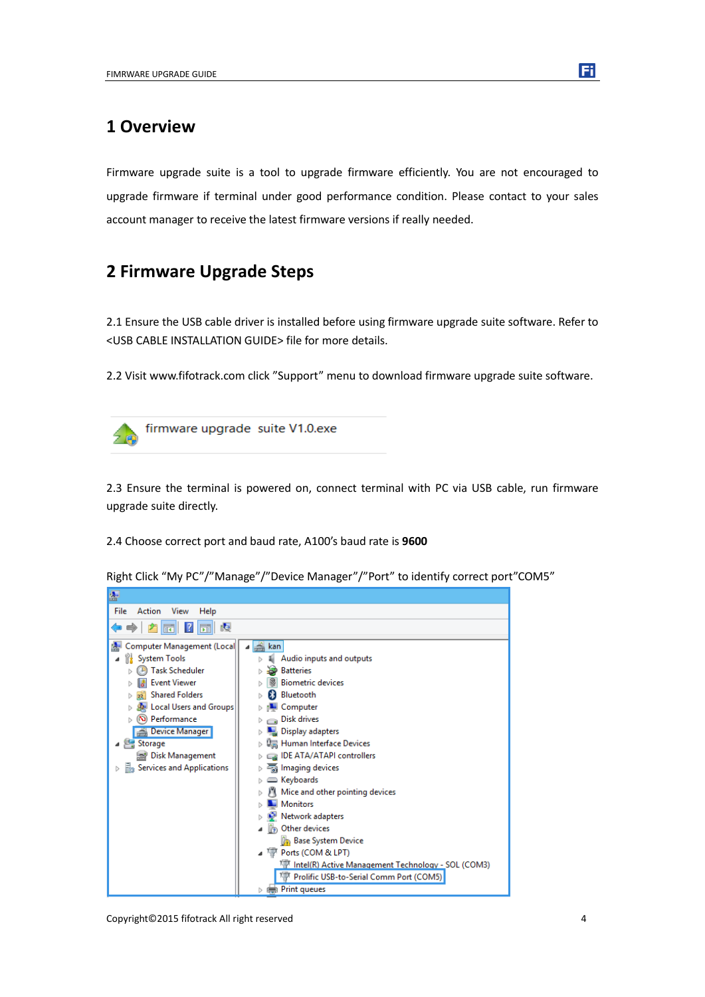#### <span id="page-3-0"></span>**1 Overview**

Firmware upgrade suite is a tool to upgrade firmware efficiently. You are not encouraged to upgrade firmware if terminal under good performance condition. Please contact to your sales account manager to receive the latest firmware versions if really needed.

### <span id="page-3-1"></span>**2 Firmware Upgrade Steps**

2.1 Ensure the USB cable driver is installed before using firmware upgrade suite software. Refer to <USB CABLE INSTALLATION GUIDE> file for more details.

2.2 Visit www.fifotrack.com click "Support" menu to download firmware upgrade suite software.



firmware upgrade suite V1.0.exe

2.3 Ensure the terminal is powered on, connect terminal with PC via USB cable, run firmware upgrade suite directly.

2.4 Choose correct port and baud rate, A100's baud rate is **9600**



Right Click "My PC"/"Manage"/"Device Manager"/"Port" to identify correct port"COM5"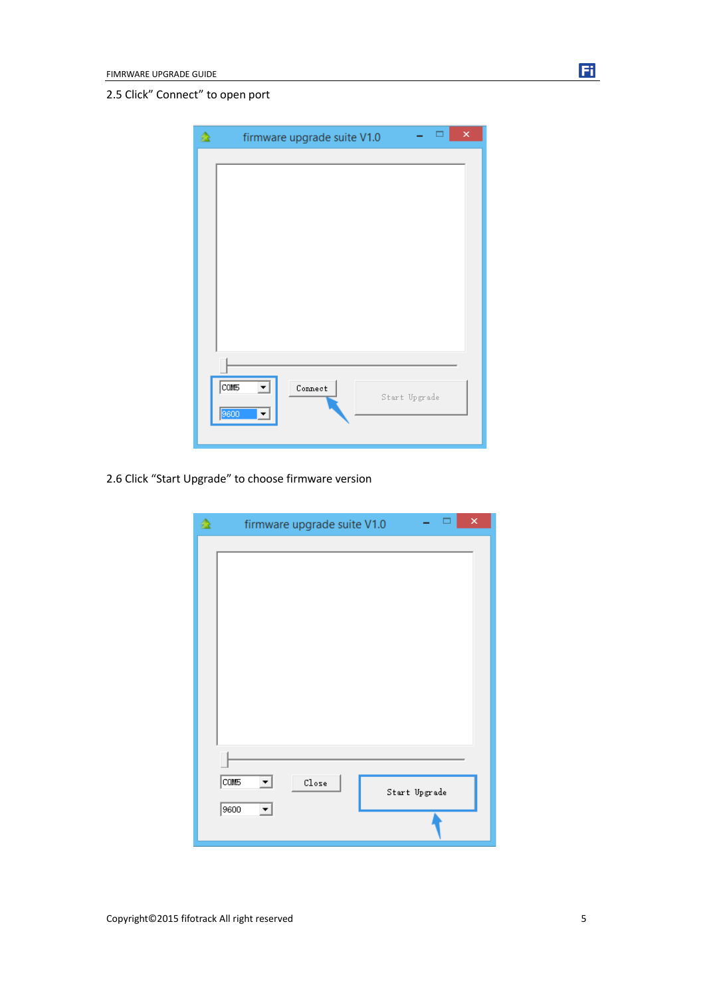#### 2.5 Click" Connect" to open port

| 益 | ×<br>firmware upgrade suite V1.0                             |  |
|---|--------------------------------------------------------------|--|
|   |                                                              |  |
|   | $\overline{\text{cons}}$<br>Connect<br>Start Upgrade<br>9600 |  |

2.6 Click "Start Upgrade" to choose firmware version

|                                  | firmware upgrade suite V1.0    | ×             |
|----------------------------------|--------------------------------|---------------|
|                                  |                                |               |
| $\overline{\text{COM5}}$<br>9600 | $C_{\texttt{lose}}$<br>▾╎<br>▼ | Start Upgrade |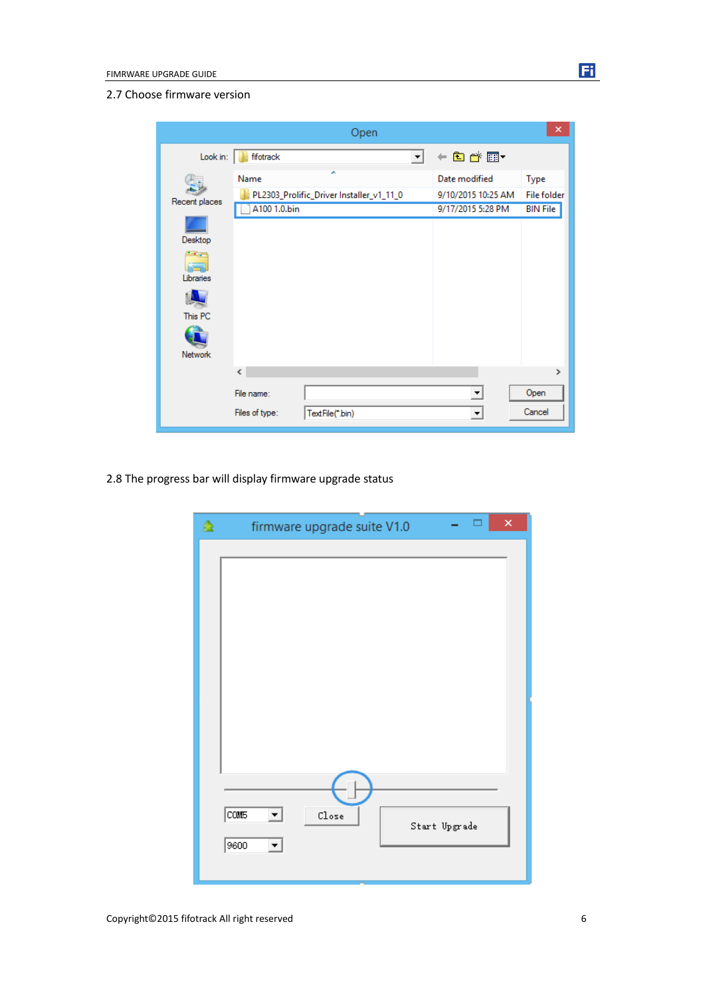|                                                             | Open                                                                  |                     |                                                          | ×                                             |
|-------------------------------------------------------------|-----------------------------------------------------------------------|---------------------|----------------------------------------------------------|-----------------------------------------------|
| Look in:                                                    | fifotrack                                                             | $\vert \cdot \vert$ | ←自感图▼                                                    |                                               |
| Recent places<br>Desktop<br>Libraries<br>This PC<br>Network | ×<br>Name<br>PL2303_Prolific_Driver Installer_v1_11_0<br>A100 1.0.bin |                     | Date modified<br>9/10/2015 10:25 AM<br>9/17/2015 5:28 PM | Type<br><b>File folder</b><br><b>BIN File</b> |
|                                                             | ∢                                                                     |                     |                                                          | $\rightarrow$                                 |
|                                                             | File name:<br>Files of type:<br>TextFile(*.bin)                       |                     | ▼<br>$\blacktriangledown$                                | Open<br>Cancel                                |

2.8 The progress bar will display firmware upgrade status

| 叠 | $\pmb{\times}$<br>firmware upgrade suite V1.0 |
|---|-----------------------------------------------|
|   |                                               |
|   |                                               |
|   |                                               |
|   |                                               |
|   |                                               |
|   |                                               |
|   |                                               |
|   |                                               |
|   | <b>COM5</b><br>$\mathop{\mathsf{Close}}$<br>⊻ |
|   | Start Upgrade<br>9600<br>▼                    |
|   |                                               |